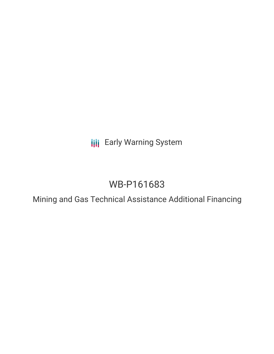**III** Early Warning System

# WB-P161683

Mining and Gas Technical Assistance Additional Financing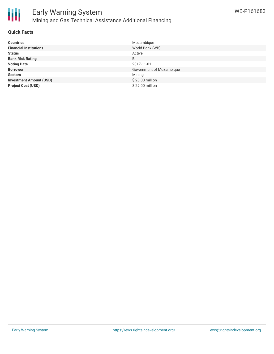

### **Quick Facts**

| <b>Countries</b>               | Mozambique               |
|--------------------------------|--------------------------|
| <b>Financial Institutions</b>  | World Bank (WB)          |
| <b>Status</b>                  | Active                   |
| <b>Bank Risk Rating</b>        | B                        |
| <b>Voting Date</b>             | 2017-11-01               |
| <b>Borrower</b>                | Government of Mozambique |
| <b>Sectors</b>                 | Mining                   |
| <b>Investment Amount (USD)</b> | \$28.00 million          |
| <b>Project Cost (USD)</b>      | \$29.00 million          |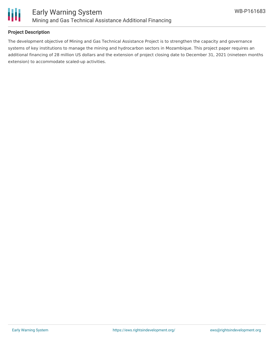

## **Project Description**

The development objective of Mining and Gas Technical Assistance Project is to strengthen the capacity and governance systems of key institutions to manage the mining and hydrocarbon sectors in Mozambique. This project paper requires an additional financing of 28 million US dollars and the extension of project closing date to December 31, 2021 (nineteen months extension) to accommodate scaled-up activities.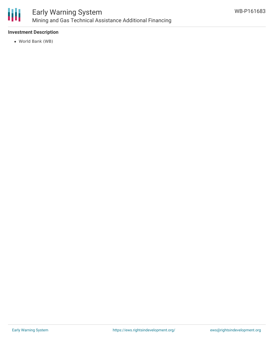

# **Investment Description**

World Bank (WB)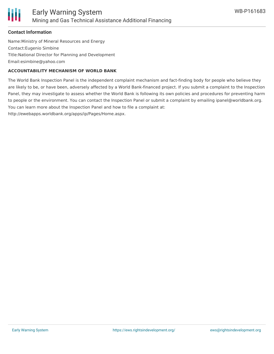

# **Contact Information**

Name:Ministry of Mineral Resources and Energy Contact:Eugenio Simbine Title:National Director for Planning and Development Email:esimbine@yahoo.com

#### **ACCOUNTABILITY MECHANISM OF WORLD BANK**

The World Bank Inspection Panel is the independent complaint mechanism and fact-finding body for people who believe they are likely to be, or have been, adversely affected by a World Bank-financed project. If you submit a complaint to the Inspection Panel, they may investigate to assess whether the World Bank is following its own policies and procedures for preventing harm to people or the environment. You can contact the Inspection Panel or submit a complaint by emailing ipanel@worldbank.org. You can learn more about the Inspection Panel and how to file a complaint at: http://ewebapps.worldbank.org/apps/ip/Pages/Home.aspx.